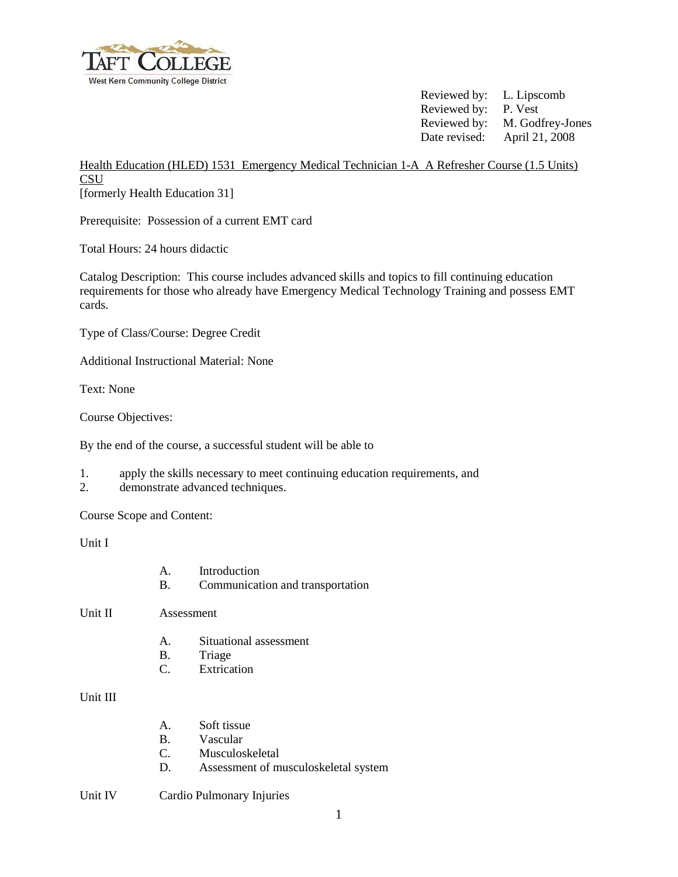

 Reviewed by: L. Lipscomb Reviewed by: P. Vest Reviewed by: M. Godfrey-Jones Date revised: April 21, 2008

Health Education (HLED) 1531 Emergency Medical Technician 1-A A Refresher Course (1.5 Units) **CSU** [formerly Health Education 31]

Prerequisite: Possession of a current EMT card

Total Hours: 24 hours didactic

Catalog Description: This course includes advanced skills and topics to fill continuing education requirements for those who already have Emergency Medical Technology Training and possess EMT cards.

Type of Class/Course: Degree Credit

Additional Instructional Material: None

Text: None

Course Objectives:

By the end of the course, a successful student will be able to

- 1. apply the skills necessary to meet continuing education requirements, and
- 2. demonstrate advanced techniques.

Course Scope and Content:

Unit I

| A. | Introduction                     |
|----|----------------------------------|
| B. | Communication and transportation |

Unit II Assessment

- A. Situational assessment
- B. Triage
- C. Extrication

Unit III

- A. Soft tissue
- B. Vascular
- C. Musculoskeletal
- D. Assessment of musculoskeletal system

## Unit IV Cardio Pulmonary Injuries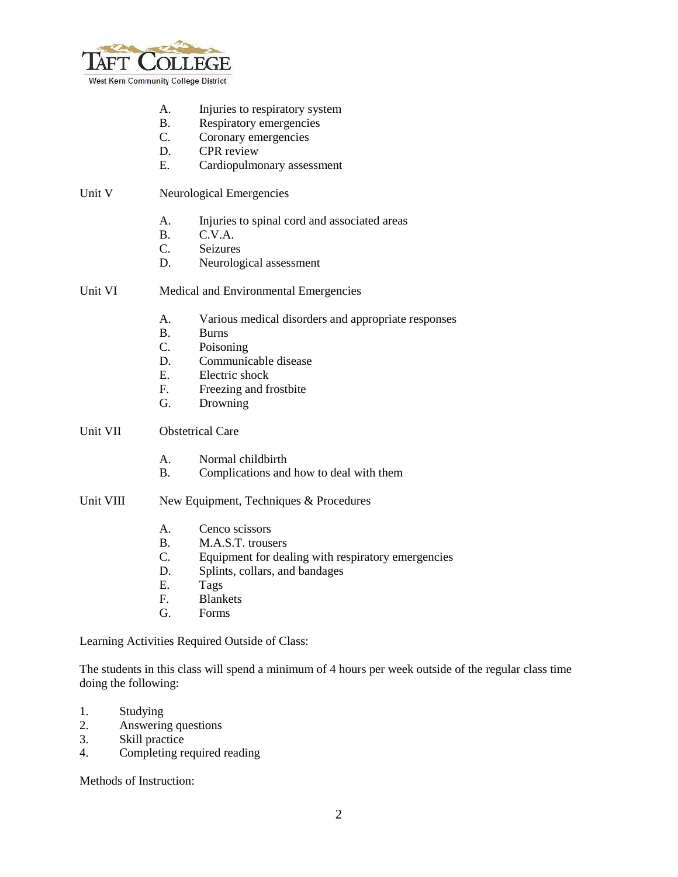

- A. Injuries to respiratory system
- B. Respiratory emergencies
- C. Coronary emergencies
- D. CPR review
- E. Cardiopulmonary assessment

## Unit V Neurological Emergencies

- A. Injuries to spinal cord and associated areas
- B. C.V.A.
- C. Seizures
- D. Neurological assessment
- Unit VI Medical and Environmental Emergencies
	- A. Various medical disorders and appropriate responses
	- B. Burns
	- C. Poisoning
	- D. Communicable disease
	- E. Electric shock
	- F. Freezing and frostbite
	- G. Drowning
- Unit VII Obstetrical Care
	- A. Normal childbirth<br>B. Complications and
	- Complications and how to deal with them
- Unit VIII New Equipment, Techniques & Procedures
	- A. Cenco scissors
	- B. M.A.S.T. trousers
	- C. Equipment for dealing with respiratory emergencies
	- D. Splints, collars, and bandages
	- E. Tags
	- F. Blankets
	- G. Forms

Learning Activities Required Outside of Class:

The students in this class will spend a minimum of 4 hours per week outside of the regular class time doing the following:

- 1. Studying
- 2. Answering questions
- 3. Skill practice
- 4. Completing required reading

Methods of Instruction: